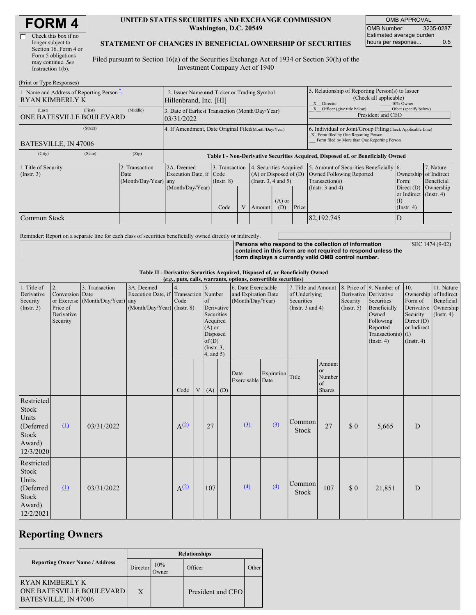| Check this box if no  |
|-----------------------|
| longer subject to     |
| Section 16. Form 4 or |
| Form 5 obligations    |
| may continue. See     |
| Instruction $1(b)$ .  |
|                       |

 $(2p, 1, 1, \ldots, 2p, 1, 2p)$ 

#### **UNITED STATES SECURITIES AND EXCHANGE COMMISSION Washington, D.C. 20549**

OMB APPROVAL OMB Number: 3235-0287 Estimated average burden hours per response... 0.5

### **STATEMENT OF CHANGES IN BENEFICIAL OWNERSHIP OF SECURITIES**

Filed pursuant to Section 16(a) of the Securities Exchange Act of 1934 or Section 30(h) of the Investment Company Act of 1940

| (FIIII OI TYPE RESPOISES)                                   |                                                                                                                                |                                                                                  |                |  |        |                                                                                                          |                                                                                                                                                    |                                                                                                                |                                                                          |                                      |  |
|-------------------------------------------------------------|--------------------------------------------------------------------------------------------------------------------------------|----------------------------------------------------------------------------------|----------------|--|--------|----------------------------------------------------------------------------------------------------------|----------------------------------------------------------------------------------------------------------------------------------------------------|----------------------------------------------------------------------------------------------------------------|--------------------------------------------------------------------------|--------------------------------------|--|
| 1. Name and Address of Reporting Person-<br>RYAN KIMBERLY K | 2. Issuer Name and Ticker or Trading Symbol<br>Hillenbrand, Inc. [HI]                                                          |                                                                                  |                |  |        | 5. Relationship of Reporting Person(s) to Issuer<br>(Check all applicable)<br>X Director<br>$10\%$ Owner |                                                                                                                                                    |                                                                                                                |                                                                          |                                      |  |
| (Last)<br>(First)<br><b>ONE BATESVILLE BOULEVARD</b>        | (Middle)                                                                                                                       | 3. Date of Earliest Transaction (Month/Day/Year)<br>03/31/2022                   |                |  |        |                                                                                                          |                                                                                                                                                    | Other (specify below)<br>X Officer (give title below)<br>President and CEO                                     |                                                                          |                                      |  |
| (Street)<br>BATESVILLE, IN 47006                            |                                                                                                                                | 4. If Amendment, Date Original Filed(Month/Day/Year)                             |                |  |        |                                                                                                          | 6. Individual or Joint/Group Filing Check Applicable Line)<br>X Form filed by One Reporting Person<br>Form filed by More than One Reporting Person |                                                                                                                |                                                                          |                                      |  |
| (City)<br>(State)                                           | (Zip)                                                                                                                          | Table I - Non-Derivative Securities Acquired, Disposed of, or Beneficially Owned |                |  |        |                                                                                                          |                                                                                                                                                    |                                                                                                                |                                                                          |                                      |  |
| 1. Title of Security<br>$($ Instr. 3 $)$                    | 2A. Deemed<br>2. Transaction<br>Execution Date, if Code<br>Date<br>(Month/Day/Year) any<br>$($ Instr. $8)$<br>(Month/Day/Year) |                                                                                  | 3. Transaction |  |        | 4. Securities Acquired<br>$(A)$ or Disposed of $(D)$<br>(Instr. $3, 4$ and $5$ )<br>$(A)$ or             |                                                                                                                                                    | 5. Amount of Securities Beneficially 6.<br>Owned Following Reported<br>Transaction(s)<br>(Instr. $3$ and $4$ ) | Ownership of Indirect<br>Form:<br>Direct $(D)$<br>or Indirect (Instr. 4) | 7. Nature<br>Beneficial<br>Ownership |  |
| Common Stock                                                |                                                                                                                                |                                                                                  | Code           |  | Amount | (D)                                                                                                      | Price                                                                                                                                              | 82,192.745                                                                                                     | $($ Instr. 4 $)$                                                         |                                      |  |

Reminder: Report on a separate line for each class of securities beneficially owned directly or indirectly.

**Persons who respond to the collection of information contained in this form are not required to respond unless the form displays a currently valid OMB control number.** SEC 1474 (9-02)

**Table II - Derivative Securities Acquired, Disposed of, or Beneficially Owned**

| (e.g., puts, calls, warrants, options, convertible securities)            |                                                             |                                                    |                                                                                      |           |   |                                                                                                                     |  |                                                                |            |                                                                             |                                                     |                         |                                                                                                                                                               |                                                                           |                                                                                          |
|---------------------------------------------------------------------------|-------------------------------------------------------------|----------------------------------------------------|--------------------------------------------------------------------------------------|-----------|---|---------------------------------------------------------------------------------------------------------------------|--|----------------------------------------------------------------|------------|-----------------------------------------------------------------------------|-----------------------------------------------------|-------------------------|---------------------------------------------------------------------------------------------------------------------------------------------------------------|---------------------------------------------------------------------------|------------------------------------------------------------------------------------------|
| 1. Title of<br>Derivative<br>Security<br>(Insert. 3)                      | 2.<br>Conversion Date<br>Price of<br>Derivative<br>Security | 3. Transaction<br>or Exercise (Month/Day/Year) any | 3A. Deemed<br>Execution Date, if Transaction Number<br>$(Month/Day/Year)$ (Instr. 8) | Code      |   | $\sigma$ f<br>Derivative<br>Securities<br>Acquired<br>$(A)$ or<br>Disposed<br>of(D)<br>$($ Instr. $3,$<br>4, and 5) |  | 6. Date Exercisable<br>and Expiration Date<br>(Month/Day/Year) |            | 7. Title and Amount<br>of Underlying<br>Securities<br>(Instr. $3$ and $4$ ) |                                                     | Security<br>(Insert. 5) | 8. Price of 9. Number of<br>Derivative Derivative<br>Securities<br>Beneficially<br>Owned<br>Following<br>Reported<br>Transaction(s) $(I)$<br>$($ Instr. 4 $)$ | 10.<br>Form of<br>Security:<br>Direct $(D)$<br>or Indirect<br>(Insert. 4) | 11. Nature<br>Ownership of Indirect<br>Beneficial<br>Derivative Ownership<br>(Insert, 4) |
|                                                                           |                                                             |                                                    |                                                                                      | Code      | V | $(A)$ $(D)$                                                                                                         |  | Date<br>Exercisable Date                                       | Expiration | Title                                                                       | Amount<br>or<br>Number<br>$\sigma$<br><b>Shares</b> |                         |                                                                                                                                                               |                                                                           |                                                                                          |
| Restricted<br>Stock<br>Units<br>(Deferred<br>Stock<br>Award)<br>12/3/2020 | $\Omega$                                                    | 03/31/2022                                         |                                                                                      | $A^{(2)}$ |   | 27                                                                                                                  |  | (3)                                                            | (3)        | Common<br><b>Stock</b>                                                      | 27                                                  | \$0                     | 5,665                                                                                                                                                         | D                                                                         |                                                                                          |
| Restricted<br>Stock<br>Units<br>(Deferred<br>Stock<br>Award)<br>12/2/2021 | $\Omega$                                                    | 03/31/2022                                         |                                                                                      | $A^{(2)}$ |   | 107                                                                                                                 |  | $\left(4\right)$                                               | (4)        | Common<br><b>Stock</b>                                                      | 107                                                 | $\$$ $0$                | 21,851                                                                                                                                                        | ${\rm D}$                                                                 |                                                                                          |

## **Reporting Owners**

|                                                                             | <b>Relationships</b> |              |                   |       |  |  |  |  |
|-----------------------------------------------------------------------------|----------------------|--------------|-------------------|-------|--|--|--|--|
| <b>Reporting Owner Name / Address</b>                                       | Director             | 10%<br>Owner | Officer           | Other |  |  |  |  |
| IRYAN KIMBERLY K<br><b>ONE BATESVILLE BOULEVARD</b><br>BATESVILLE, IN 47006 | X                    |              | President and CEO |       |  |  |  |  |